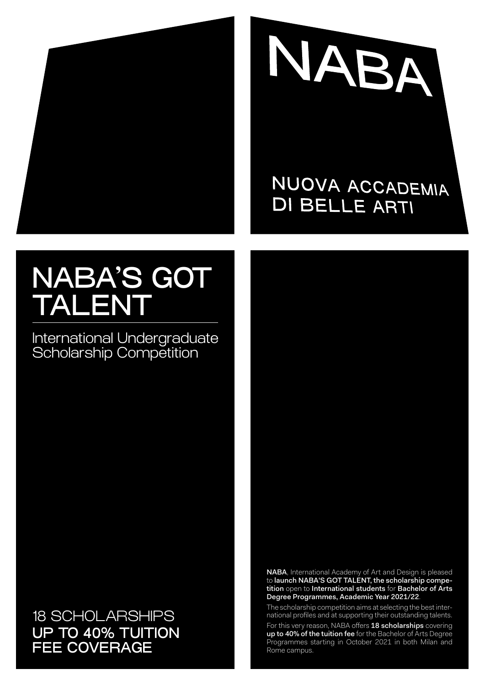



## NUOVA ACCADEMIA **DI BELLE ARTI**

# NABA'S GOT TALENT

International Undergraduate Scholarship Competition

18 SCHOLARSHIPS UP TO 40% TUITION FEE COVERAGE

NABA, International Academy of Art and Design is pleased to launch NABA'S GOT TALENT, the scholarship competition open to International students for Bachelor of Arts Degree Programmes, Academic Year 2021/22.

The scholarship competition aims at selecting the best international profiles and at supporting their outstanding talents.

For this very reason, NABA offers 18 scholarships covering up to 40% of the tuition fee for the Bachelor of Arts Degree Programmes starting in October 2021 in both Milan and Rome campus.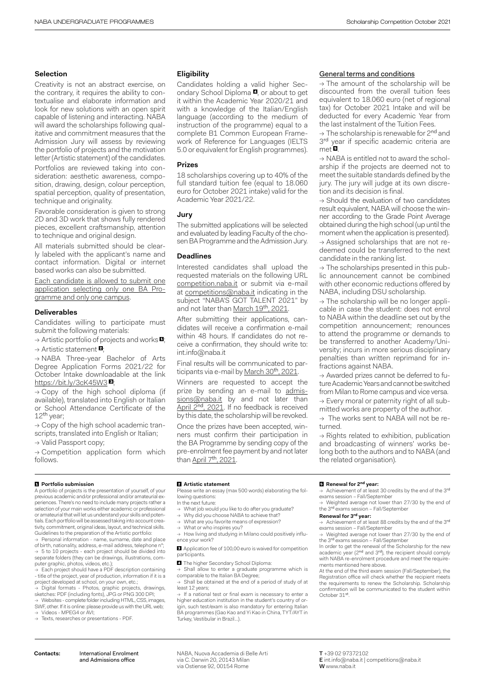#### **Selection**

Creativity is not an abstract exercise, on the contrary, it requires the ability to contextualise and elaborate information and look for new solutions with an open spirit capable of listening and interacting. NABA will award the scholarships following qualitative and commitment measures that the Admission Jury will assess by reviewing the portfolio of projects and the motivation letter (Artistic statement) of the candidates.

Portfolios are reviewed taking into consideration: aesthetic awareness, composition, drawing, design, colour perception, spatial perception, quality of presentation, technique and originality.

Favorable consideration is given to strong 2D and 3D work that shows fully rendered pieces, excellent craftsmanship, attention to technique and original design.

All materials submitted should be clearly labeled with the applicant's name and contact information. Digital or internet based works can also be submitted.

Each candidate is allowed to submit one application selecting only one BA Programme and only one campus.

#### **Deliverables**

Candidates willing to participate must submit the following materials:

 $\rightarrow$  Artistic portfolio of projects and works  $\blacksquare$ 

 $\rightarrow$  Artistic statement  $\blacksquare$ ;

→ NABA Three-year Bachelor of Arts Degree Application Forms 2021/22 for October Intake downloadable at the link [https://bit.ly/3cK45W3](https://bit.ly/3cK45W3 )

 $\rightarrow$  Copy of the high school diploma (if available), translated into English or Italian or School Attendance Certificate of the 12<sup>th</sup> year:

 $\rightarrow$  Copy of the high school academic transcripts, translated into English or Italian; → Valid Passport copy;

 $\rightarrow$  Competition application form which follows.

 **Portfolio submission**  A portfolio of projects is the presentation of yourself, of your previous academic and/or professional and/or amateurial experiences. There's no need to include many projects rather a selection of your main works either academic or professional or amateurial that will let us understand your skills and potentials. Each portfolio will be assessed taking into account creativity, commitment, original ideas, layout, and technical skills. Guidelines to the preparation of the Artistic portfolio:

Personal information - name, surname, date and place of birth, nationality, address, e-mail address, telephone n°; → 5 to 10 projects - each project should be divided into separate folders (they can be drawings, illustrations, com-

puter graphic, photos, videos, etc.); → Each project should have a PDF description containing - title of the project, year of production, information if it is a project developed at school, on your own, etc.;

→ Digital formats - Photos, graphic projects, drawings,<br>sketches: PDF (including fonts), JPG or PNG 300 DPI;

→ Websites - complete folder including HTML, CSS, images SWF, other. If it is online: please provide us with the URL web; Videos - MPEG4 or AVI:

→ Texts, researches or presentations - PDF.

#### **Eligibility**

Candidates holding a valid higher Secondary School Diploma **4**, or about to get it within the Academic Year 2020/21 and with a knowledge of the Italian/English language (according to the medium of instruction of the programme) equal to a complete B1 Common European Framework of Reference for Languages (IELTS 5.0 or equivalent for English programmes).

#### **Prizes**

18 scholarships covering up to 40% of the full standard tuition fee (equal to 18.060 euro for October 2021 intake) valid for the Academic Year 2021/22.

#### **Jury**

The submitted applications will be selected and evaluated by leading Faculty of the chosen BA Programme and the Admission Jury.

#### **Deadlines**

Interested candidates shall upload the requested materials on the following URL competition.naba.it or submit via e-mail at competitions@naba.it indicating in the subject "NABA'S GOT TALENT 2021" by and not later than March 19th, 2021

After submitting their applications, candidates will receive a confirmation e-mail within 48 hours. If candidates do not receive a confirmation, they should write to: int.info@naba.it

Final results will be communicated to participants via e-mail by March 30<sup>th</sup>, 2021.

Winners are requested to accept the prize by sending an e-mail to admissions@naba.it by and not later than April 2nd, 2021. If no feedback is received by this date, the scholarship will be revoked.

Once the prizes have been accepted, winners must confirm their participation in the BA Programme by sending copy of the pre-enrolment fee payment by and not later than April  $7<sup>th</sup>$ , 2021.

#### General terms and conditions

 $\rightarrow$  The amount of the scholarship will be discounted from the overall tuition fees equivalent to 18.060 euro (net of regional tax) for October 2021 Intake and will be deducted for every Academic Year from the last instalment of the Tuition Fees.

→ The scholarship is renewable for 2<sup>nd</sup> and 3<sup>rd</sup> year if specific academic criteria are  $met\ddot{a}$ .

→ NABA is entitled not to award the scholarship if the projects are deemed not to meet the suitable standards defined by the jury. The jury will judge at its own discretion and its decision is final.

 $\rightarrow$  Should the evaluation of two candidates result equivalent, NABA will choose the winner according to the Grade Point Average obtained during the high school (up until the moment when the application is presented). → Assigned scholarships that are not redeemed could be transferred to the next candidate in the ranking list.

 $\rightarrow$  The scholarships presented in this public announcement cannot be combined with other economic reductions offered by NABA, including DSU scholarship.

 $\rightarrow$  The scholarship will be no longer applicable in case the student: does not enrol to NABA within the deadline set out by the competition announcement; renounces to attend the programme or demands to be transferred to another Academy/University; incurs in more serious disciplinary penalties than written reprimand for infractions against NABA.

→ Awarded prizes cannot be deferred to future Academic Years and cannot be switched from Milan to Rome campus and vice versa. → Every moral or paternity right of all submitted works are property of the author.

 $\rightarrow$  The works sent to NABA will not be returned.

 $\rightarrow$  Rights related to exhibition, publication and broadcasting of winners' works belong both to the authors and to NABA (and the related organisation).

#### **Artistic statement**

Please write an essay (max 500 words) elaborating the following questions:

In the next future:

- What job would you like to do after you graduate?
- Why did you choose NABA to achieve that?
- → What are you favorite means of expression? → What or who inspires you?

 $\rightarrow$  How living and studying in Milano could positively influence your work?

**<sup>8</sup>** Application fee of 100,00 euro is waived for competition participants.

**<sup>4</sup>** The higher Secondary School Diploma:

→ Shall allow to enter a graduate programme which is comparable to the Italian BA Degree;

→ Shall be obtained at the end of a period of study of at least 12 years;

→ If a national test or final exam is necessary to enter a higher education institution in the student's country of origin, such test/exam is also mandatory for entering Italian BA programmes (Gao Kao and Yi Kao in China, TYT/AYT in Turkey, Vestibular in Brazil…).

#### **Renewal for 2nd year:**

 $\rightarrow$  Achievement of at least 30 credits by the end of the 3rd exams session – Fall/September

Weighted average not lower than 27/30 by the end of the 3<sup>rd</sup> exams session - Fall/September

#### **Renewal for 3rd year:**

→ Achievement of at least 88 credits by the end of the 3rd exams session – Fall/September

Weighted average not lower than 27/30 by the end of the 3<sup>rd</sup> exams session - Fall/September In order to get the renewal of the Scholarship for the new

academic year (2<sup>nd</sup> and 3<sup>rd</sup>), the recipient should comply with NABA re-enrolment procedure and meet the requirements mentioned here above.

At the end of the third exam session (Fall/September), the Registration office will check whether the recipient meets the requirements to renew the Scholarship. Scholarship confirmation will be communicated to the student within October 31st.

NABA, Nuova Accademia di Belle Arti via C. Darwin 20, 20143 Milan via Ostiense 92, 00154 Rome